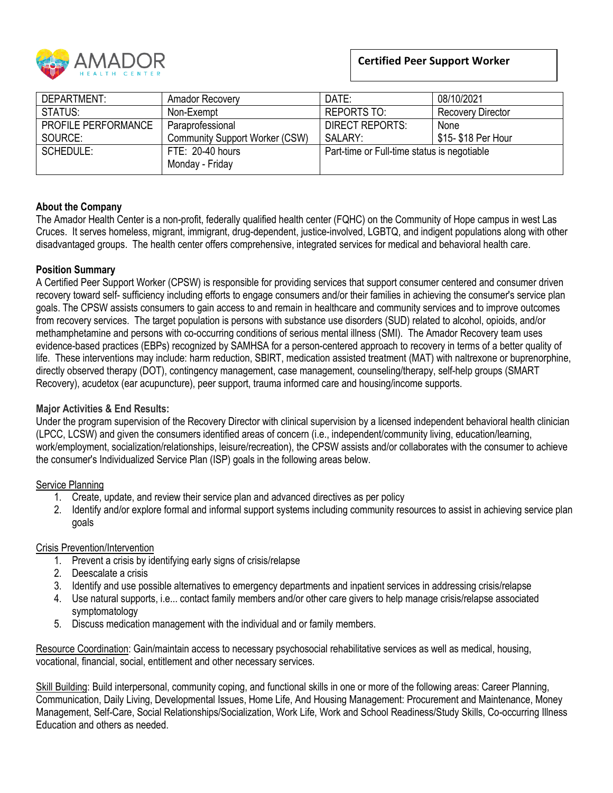

# **Certified Peer Support Worker**

| DEPARTMENT:                | <b>Amador Recovery</b>                | DATE:                                       | 08/10/2021               |
|----------------------------|---------------------------------------|---------------------------------------------|--------------------------|
| STATUS:                    | Non-Exempt                            | <b>REPORTS TO:</b>                          | <b>Recovery Director</b> |
| <b>PROFILE PERFORMANCE</b> | Paraprofessional                      | <b>DIRECT REPORTS:</b>                      | None                     |
| SOURCE:                    | <b>Community Support Worker (CSW)</b> | SALARY:                                     | \$15- \$18 Per Hour      |
| SCHEDULE:                  | FTE: 20-40 hours                      | Part-time or Full-time status is negotiable |                          |
|                            | Monday - Friday                       |                                             |                          |

# **About the Company**

The Amador Health Center is a non-profit, federally qualified health center (FQHC) on the Community of Hope campus in west Las Cruces. It serves homeless, migrant, immigrant, drug-dependent, justice-involved, LGBTQ, and indigent populations along with other disadvantaged groups. The health center offers comprehensive, integrated services for medical and behavioral health care.

# **Position Summary**

A Certified Peer Support Worker (CPSW) is responsible for providing services that support consumer centered and consumer driven recovery toward self- sufficiency including efforts to engage consumers and/or their families in achieving the consumer's service plan goals. The CPSW assists consumers to gain access to and remain in healthcare and community services and to improve outcomes from recovery services. The target population is persons with substance use disorders (SUD) related to alcohol, opioids, and/or methamphetamine and persons with co-occurring conditions of serious mental illness (SMI). The Amador Recovery team uses evidence-based practices (EBPs) recognized by SAMHSA for a person-centered approach to recovery in terms of a better quality of life. These interventions may include: harm reduction, SBIRT, medication assisted treatment (MAT) with naltrexone or buprenorphine, directly observed therapy (DOT), contingency management, case management, counseling/therapy, self-help groups (SMART Recovery), acudetox (ear acupuncture), peer support, trauma informed care and housing/income supports.

# **Major Activities & End Results:**

Under the program supervision of the Recovery Director with clinical supervision by a licensed independent behavioral health clinician (LPCC, LCSW) and given the consumers identified areas of concern (i.e., independent/community living, education/learning, work/employment, socialization/relationships, leisure/recreation), the CPSW assists and/or collaborates with the consumer to achieve the consumer's Individualized Service Plan (ISP) goals in the following areas below.

#### Service Planning

- 1. Create, update, and review their service plan and advanced directives as per policy
- 2. Identify and/or explore formal and informal support systems including community resources to assist in achieving service plan goals

# Crisis Prevention/Intervention

- 1. Prevent a crisis by identifying early signs of crisis/relapse
- 2. Deescalate a crisis
- 3. Identify and use possible alternatives to emergency departments and inpatient services in addressing crisis/relapse
- 4. Use natural supports, i.e... contact family members and/or other care givers to help manage crisis/relapse associated symptomatology
- 5. Discuss medication management with the individual and or family members.

Resource Coordination: Gain/maintain access to necessary psychosocial rehabilitative services as well as medical, housing, vocational, financial, social, entitlement and other necessary services.

Skill Building: Build interpersonal, community coping, and functional skills in one or more of the following areas: Career Planning, Communication, Daily Living, Developmental Issues, Home Life, And Housing Management: Procurement and Maintenance, Money Management, Self-Care, Social Relationships/Socialization, Work Life, Work and School Readiness/Study Skills, Co-occurring Illness Education and others as needed.